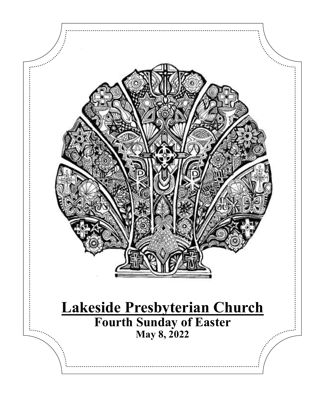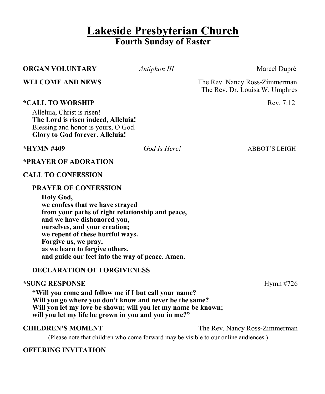# **Lakeside Presbyterian Church Fourth Sunday of Easter**

### **ORGAN VOLUNTARY** *Antiphon III* Marcel Dupré

**WELCOME AND NEWS** The Rev. Nancy Ross-Zimmerman The Rev. Dr. Louisa W. Umphres

**\*CALL TO WORSHIP**  Rev. 7:12

Alleluia, Christ is risen! **The Lord is risen indeed, Alleluia!** Blessing and honor is yours, O God. **Glory to God forever. Alleluia!**

**\*HYMN #409** *God Is Here!* ABBOT'S LEIGH

# **\*PRAYER OF ADORATION**

# **CALL TO CONFESSION**

#### **PRAYER OF CONFESSION**

**Holy God, we confess that we have strayed from your paths of right relationship and peace, and we have dishonored you, ourselves, and your creation; we repent of these hurtful ways. Forgive us, we pray, as we learn to forgive others, and guide our feet into the way of peace. Amen.**

# **DECLARATION OF FORGIVENESS**

#### **\*SUNG RESPONSE** Hymn #726

**"Will you come and follow me if I but call your name? Will you go where you don't know and never be the same? Will you let my love be shown; will you let my name be known; will you let my life be grown in you and you in me?"**

#### **CHILDREN'S MOMENT** The Rev. Nancy Ross-Zimmerman

(Please note that children who come forward may be visible to our online audiences.)

# **OFFERING INVITATION**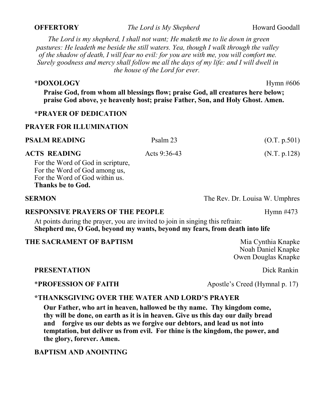**OFFERTORY** *The Lord is My Shepherd* Howard Goodall

*The Lord is my shepherd, I shall not want; He maketh me to lie down in green pastures: He leadeth me beside the still waters. Yea, though I walk through the valley of the shadow of death, I will fear no evil: for you are with me, you will comfort me. Surely goodness and mercy shall follow me all the days of my life: and I will dwell in the house of the Lord for ever.*

#### **\*DOXOLOGY** Hymn #606

**Praise God, from whom all blessings flow; praise God, all creatures here below; praise God above, ye heavenly host; praise Father, Son, and Holy Ghost. Amen.**

#### **\*PRAYER OF DEDICATION**

#### **PRAYER FOR ILLUMINATION**

| <b>PSALM READING</b>                                                                                                      | Psalm 23       | (O.T. p.501) |
|---------------------------------------------------------------------------------------------------------------------------|----------------|--------------|
| <b>ACTS READING</b>                                                                                                       | Acts $9:36-43$ | (N.T. p.128) |
| For the Word of God in scripture,<br>For the Word of God among us,<br>For the Word of God within us.<br>Thanks be to God. |                |              |

**SERMON** The Rev. Dr. Louisa W. Umphres

# **RESPONSIVE PRAYERS OF THE PEOPLE** Hymn #473

At points during the prayer, you are invited to join in singing this refrain: **Shepherd me, O God, beyond my wants, beyond my fears, from death into life**

#### **THE SACRAMENT OF BAPTISM** Mia Cynthia Knapke

 Noah Daniel Knapke Owen Douglas Knapke

# **PRESENTATION** Dick Rankin

\***PROFESSION OF FAITH** Apostle's Creed (Hymnal p. 17)

# **\*THANKSGIVING OVER THE WATER AND LORD'S PRAYER**

**Our Father, who art in heaven, hallowed be thy name. Thy kingdom come, thy will be done, on earth as it is in heaven. Give us this day our daily bread and forgive us our debts as we forgive our debtors, and lead us not into temptation, but deliver us from evil. For thine is the kingdom, the power, and the glory, forever. Amen.**

# **BAPTISM AND ANOINTING**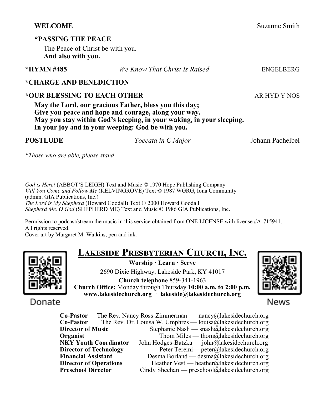### **\*PASSING THE PEACE**

The Peace of Christ be with you. **And also with you.**

#### **\*HYMN #485** *We Know That Christ Is Raised* ENGELBERG

# **\*CHARGE AND BENEDICTION**

# **\*OUR BLESSING TO EACH OTHER** AR HYD Y NOS

**May the Lord, our gracious Father, bless you this day; Give you peace and hope and courage, along your way. May you stay within God's keeping, in your waking, in your sleeping. In your joy and in your weeping: God be with you.**

**POSTLUDE** *Toccata in C Major* Johann Pachelbel

*\*Those who are able, please stand*

*God is Here!* (ABBOT'S LEIGH) Text and Music © 1970 Hope Publishing Company *Will You Come and Follow Me* (KELVINGROVE) Text © 1987 WGRG, Iona Community (admin. GIA Publications, Inc.) *The Lord is My Shepherd* (Howard Goodall) Text © 2000 Howard Goodall *Shepherd Me, O God* (SHEPHERD ME) Text and Music © 1986 GIA Publications, Inc.

Permission to podcast/stream the music in this service obtained from ONE LICENSE with license #A-715941. All rights reserved.

Cover art by Margaret M. Watkins, pen and ink.



# **Lakeside Presbyterian Church, Inc.**

**Worship · Learn · Serve** 2690 Dixie Highway, Lakeside Park, KY 41017

**Church telephone** 859-341-1963 **Church Office:** Monday through Thursday **10:00 a.m. to 2:00 p.m. www.lakesidechurch.org · lakeside@lakesidechurch.org**



News

Donate

**Co-Pastor** The Rev. Nancy Ross-Zimmerman — nancy@lakesidechurch.org **Co-Pastor** The Rev. Dr. Louisa W. Umphres — louisa@lakesidechurch.org<br>**Director of Music** Stephanie Nash — snash@lakesidechurch.org Stephanie Nash — snash@lakesidechurch.org **Organist** Thom Miles — thom@lakesidechurch.org **NKY Youth Coordinator** John Hodges-Batzka — john@lakesidechurch.org<br>**Director of Technology** Peter Teremi— peter@lakesidechurch.org Peter Teremi— peter@lakesidechurch.org **Financial Assistant** Desma Borland — desma@lakesidechurch.org **Director of Operations** Heather Vest — heather@lakesidechurch.org<br> **Preschool Director** Cindy Sheehan — preschool@lakesidechurch.org Cindy Sheehan — preschool@lakesidechurch.org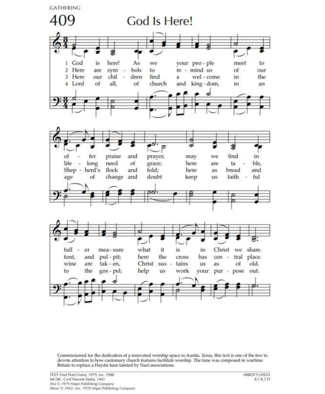

Commissioned for the dedication of a renovated worship space in Austin, Texas, this text is one of the few to devote attention to how customary church features facilitate worship. The tune was composed in wartime Britain to replace a Haydn tune tainted by Nazi associations.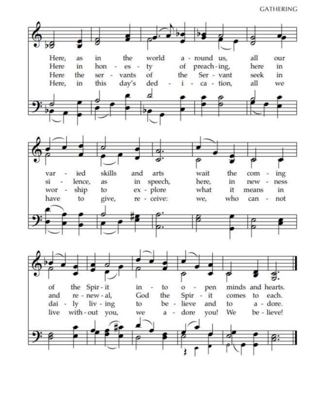**GATHERING** 

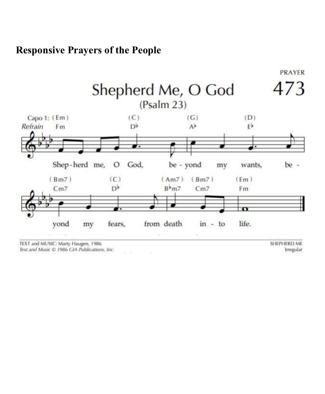# **Responsive Prayers of the People**



Text and Music C 1986 GIA Publications, Inc.

SHEPHERD ME Irregular